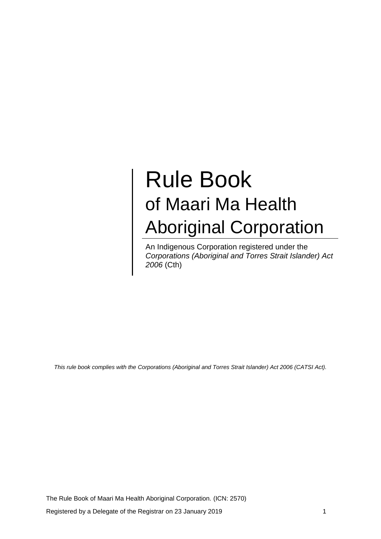# Rule Book of Maari Ma Health Aboriginal Corporation

An Indigenous Corporation registered under the *Corporations (Aboriginal and Torres Strait Islander) Act 2006* (Cth)

*This rule book complies with the Corporations (Aboriginal and Torres Strait Islander) Act 2006 (CATSI Act).*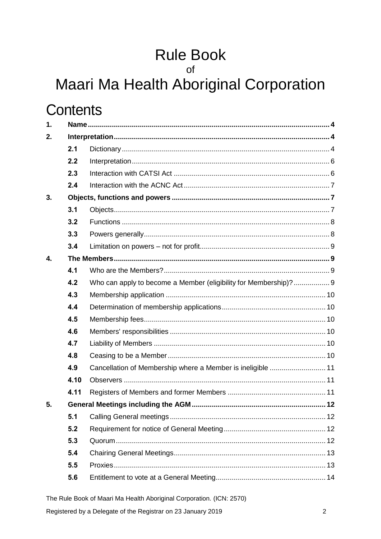# Rule Book<br>of

## Maari Ma Health Aboriginal Corporation

## **Contents**

| $\mathbf 1$ . |      |                                                                  |  |  |
|---------------|------|------------------------------------------------------------------|--|--|
| 2.            |      |                                                                  |  |  |
|               | 2.1  |                                                                  |  |  |
|               | 2.2  |                                                                  |  |  |
|               | 2.3  |                                                                  |  |  |
|               | 2.4  |                                                                  |  |  |
| 3.            |      |                                                                  |  |  |
|               | 3.1  |                                                                  |  |  |
|               | 3.2  |                                                                  |  |  |
|               | 3.3  |                                                                  |  |  |
|               | 3.4  |                                                                  |  |  |
| 4.            |      |                                                                  |  |  |
|               | 4.1  |                                                                  |  |  |
|               | 4.2  | Who can apply to become a Member (eligibility for Membership)? 9 |  |  |
|               | 4.3  |                                                                  |  |  |
|               | 4.4  |                                                                  |  |  |
|               | 4.5  |                                                                  |  |  |
|               | 4.6  |                                                                  |  |  |
|               | 4.7  |                                                                  |  |  |
|               | 4.8  |                                                                  |  |  |
|               | 4.9  | Cancellation of Membership where a Member is ineligible  11      |  |  |
|               | 4.10 |                                                                  |  |  |
|               | 4.11 |                                                                  |  |  |
| 5.            |      | <b>General Meetings including the AGM</b><br>12                  |  |  |
|               | 5.1  |                                                                  |  |  |
|               | 5.2  |                                                                  |  |  |
|               | 5.3  |                                                                  |  |  |
|               | 5.4  |                                                                  |  |  |
|               | 5.5  |                                                                  |  |  |
|               | 5.6  |                                                                  |  |  |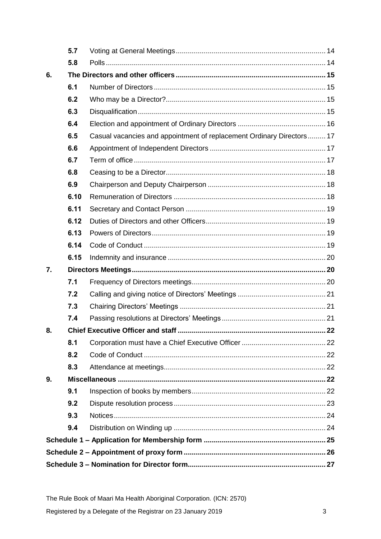|    | 5.7  |                                                                       |  |  |
|----|------|-----------------------------------------------------------------------|--|--|
|    | 5.8  |                                                                       |  |  |
| 6. |      |                                                                       |  |  |
|    | 6.1  |                                                                       |  |  |
|    | 6.2  |                                                                       |  |  |
|    | 6.3  |                                                                       |  |  |
|    | 6.4  |                                                                       |  |  |
|    | 6.5  | Casual vacancies and appointment of replacement Ordinary Directors 17 |  |  |
|    | 6.6  |                                                                       |  |  |
|    | 6.7  |                                                                       |  |  |
|    | 6.8  |                                                                       |  |  |
|    | 6.9  |                                                                       |  |  |
|    | 6.10 |                                                                       |  |  |
|    | 6.11 |                                                                       |  |  |
|    | 6.12 |                                                                       |  |  |
|    | 6.13 |                                                                       |  |  |
|    | 6.14 |                                                                       |  |  |
|    | 6.15 |                                                                       |  |  |
| 7. |      |                                                                       |  |  |
|    | 7.1  |                                                                       |  |  |
|    | 7.2  |                                                                       |  |  |
|    | 7.3  |                                                                       |  |  |
|    | 7.4  |                                                                       |  |  |
| 8. |      |                                                                       |  |  |
|    | 8.1  |                                                                       |  |  |
|    | 8.2  |                                                                       |  |  |
|    | 8.3  |                                                                       |  |  |
| 9. |      |                                                                       |  |  |
|    | 9.1  |                                                                       |  |  |
|    | 9.2  |                                                                       |  |  |
|    | 9.3  |                                                                       |  |  |
|    | 9.4  |                                                                       |  |  |
|    |      |                                                                       |  |  |
|    |      |                                                                       |  |  |
|    |      |                                                                       |  |  |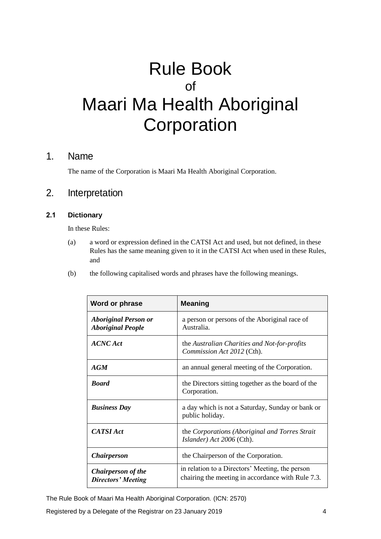## Rule Book of Maari Ma Health Aboriginal **Corporation**

### 1. Name

The name of the Corporation is Maari Ma Health Aboriginal Corporation.

### 2. Interpretation

#### **2.1 Dictionary**

In these Rules:

- (a) a word or expression defined in the CATSI Act and used, but not defined, in these Rules has the same meaning given to it in the CATSI Act when used in these Rules, and
- (b) the following capitalised words and phrases have the following meanings.

| Word or phrase                                          | <b>Meaning</b>                                                                                       |
|---------------------------------------------------------|------------------------------------------------------------------------------------------------------|
| <b>Aboriginal Person or</b><br><b>Aboriginal People</b> | a person or persons of the Aboriginal race of<br>Australia.                                          |
| <b>ACNC</b> Act                                         | the Australian Charities and Not-for-profits<br>Commission Act 2012 (Cth).                           |
| AGM                                                     | an annual general meeting of the Corporation.                                                        |
| <b>Board</b>                                            | the Directors sitting together as the board of the<br>Corporation.                                   |
| <b>Business Day</b>                                     | a day which is not a Saturday, Sunday or bank or<br>public holiday.                                  |
| <b>CATSI</b> Act                                        | the Corporations (Aboriginal and Torres Strait<br>Islander) Act 2006 (Cth).                          |
| <i><b>Chairperson</b></i>                               | the Chairperson of the Corporation.                                                                  |
| <b>Chairperson of the</b><br><b>Directors' Meeting</b>  | in relation to a Directors' Meeting, the person<br>chairing the meeting in accordance with Rule 7.3. |

The Rule Book of Maari Ma Health Aboriginal Corporation. (ICN: 2570)

Registered by a Delegate of the Registrar on 23 January 2019 4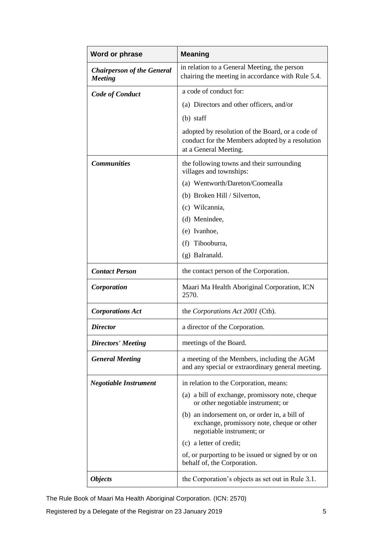| Word or phrase                                      | <b>Meaning</b>                                                                                                               |
|-----------------------------------------------------|------------------------------------------------------------------------------------------------------------------------------|
| <b>Chairperson of the General</b><br><b>Meeting</b> | in relation to a General Meeting, the person<br>chairing the meeting in accordance with Rule 5.4.                            |
| <b>Code of Conduct</b>                              | a code of conduct for:                                                                                                       |
|                                                     | (a) Directors and other officers, and/or                                                                                     |
|                                                     | $(b)$ staff                                                                                                                  |
|                                                     | adopted by resolution of the Board, or a code of<br>conduct for the Members adopted by a resolution<br>at a General Meeting. |
| <b>Communities</b>                                  | the following towns and their surrounding<br>villages and townships:                                                         |
|                                                     | (a) Wentworth/Dareton/Coomealla                                                                                              |
|                                                     | (b) Broken Hill / Silverton,                                                                                                 |
|                                                     | (c) Wilcannia,                                                                                                               |
|                                                     | (d) Menindee,                                                                                                                |
|                                                     | (e) Ivanhoe,                                                                                                                 |
|                                                     | (f) Tibooburra,                                                                                                              |
|                                                     | (g) Balranald.                                                                                                               |
| <b>Contact Person</b>                               | the contact person of the Corporation.                                                                                       |
| Corporation                                         | Maari Ma Health Aboriginal Corporation, ICN<br>2570.                                                                         |
| <b>Corporations Act</b>                             | the Corporations Act 2001 (Cth).                                                                                             |
| <b>Director</b>                                     | a director of the Corporation.                                                                                               |
| <b>Directors' Meeting</b>                           | meetings of the Board.                                                                                                       |
| <b>General Meeting</b>                              | a meeting of the Members, including the AGM<br>and any special or extraordinary general meeting.                             |
| <b>Negotiable Instrument</b>                        | in relation to the Corporation, means:                                                                                       |
|                                                     | (a) a bill of exchange, promissory note, cheque<br>or other negotiable instrument; or                                        |
|                                                     | (b) an indorsement on, or order in, a bill of<br>exchange, promissory note, cheque or other<br>negotiable instrument; or     |
|                                                     | (c) a letter of credit;                                                                                                      |
|                                                     | of, or purporting to be issued or signed by or on<br>behalf of, the Corporation.                                             |
| <b>Objects</b>                                      | the Corporation's objects as set out in Rule 3.1.                                                                            |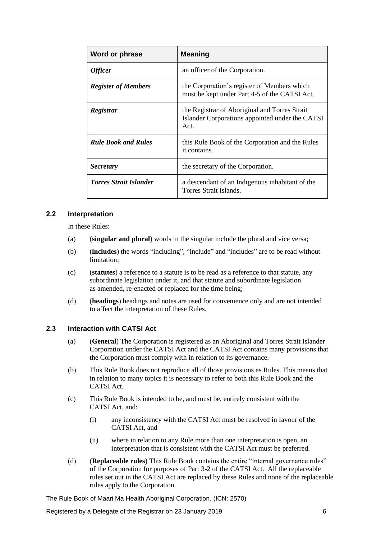| Word or phrase                | <b>Meaning</b>                                                                                           |
|-------------------------------|----------------------------------------------------------------------------------------------------------|
| <b>Officer</b>                | an officer of the Corporation.                                                                           |
| <b>Register of Members</b>    | the Corporation's register of Members which<br>must be kept under Part 4-5 of the CATSI Act.             |
| Registrar                     | the Registrar of Aboriginal and Torres Strait<br>Islander Corporations appointed under the CATSI<br>Act. |
| <b>Rule Book and Rules</b>    | this Rule Book of the Corporation and the Rules<br>it contains.                                          |
| <b>Secretary</b>              | the secretary of the Corporation.                                                                        |
| <b>Torres Strait Islander</b> | a descendant of an Indigenous inhabitant of the<br>Torres Strait Islands.                                |

#### **2.2 Interpretation**

In these Rules:

- (a) (**singular and plural**) words in the singular include the plural and vice versa;
- (b) (**includes**) the words "including", "include" and "includes" are to be read without limitation;
- (c) (**statutes**) a reference to a statute is to be read as a reference to that statute, any subordinate legislation under it, and that statute and subordinate legislation as amended, re-enacted or replaced for the time being;
- (d) (**headings**) headings and notes are used for convenience only and are not intended to affect the interpretation of these Rules.

#### **2.3 Interaction with CATSI Act**

- (a) (**General**) The Corporation is registered as an Aboriginal and Torres Strait Islander Corporation under the CATSI Act and the CATSI Act contains many provisions that the Corporation must comply with in relation to its governance.
- (b) This Rule Book does not reproduce all of those provisions as Rules. This means that in relation to many topics it is necessary to refer to both this Rule Book and the CATSI Act.
- (c) This Rule Book is intended to be, and must be, entirely consistent with the CATSI Act, and:
	- (i) any inconsistency with the CATSI Act must be resolved in favour of the CATSI Act, and
	- (ii) where in relation to any Rule more than one interpretation is open, an interpretation that is consistent with the CATSI Act must be preferred.
- (d) (**Replaceable rules**) This Rule Book contains the entire "internal governance rules" of the Corporation for purposes of Part 3-2 of the CATSI Act. All the replaceable rules set out in the CATSI Act are replaced by these Rules and none of the replaceable rules apply to the Corporation.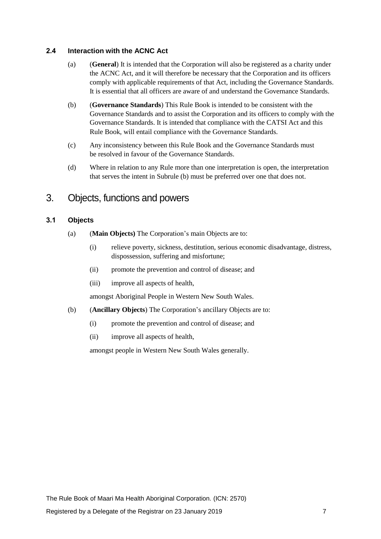#### **2.4 Interaction with the ACNC Act**

- (a) (**General**) It is intended that the Corporation will also be registered as a charity under the ACNC Act, and it will therefore be necessary that the Corporation and its officers comply with applicable requirements of that Act, including the Governance Standards. It is essential that all officers are aware of and understand the Governance Standards.
- <span id="page-6-1"></span>(b) (**Governance Standards**) This Rule Book is intended to be consistent with the Governance Standards and to assist the Corporation and its officers to comply with the Governance Standards. It is intended that compliance with the CATSI Act and this Rule Book, will entail compliance with the Governance Standards.
- (c) Any inconsistency between this Rule Book and the Governance Standards must be resolved in favour of the Governance Standards.
- (d) Where in relation to any Rule more than one interpretation is open, the interpretation that serves the intent in Subrule [\(b\)](#page-6-1) must be preferred over one that does not.

### <span id="page-6-2"></span>3. Objects, functions and powers

#### <span id="page-6-0"></span>**3.1 Objects**

- (a) (**Main Objects)** The Corporation's main Objects are to:
	- (i) relieve poverty, sickness, destitution, serious economic disadvantage, distress, dispossession, suffering and misfortune;
	- (ii) promote the prevention and control of disease; and
	- (iii) improve all aspects of health,

amongst Aboriginal People in Western New South Wales.

- (b) (**Ancillary Objects**) The Corporation's ancillary Objects are to:
	- (i) promote the prevention and control of disease; and
	- (ii) improve all aspects of health,

amongst people in Western New South Wales generally.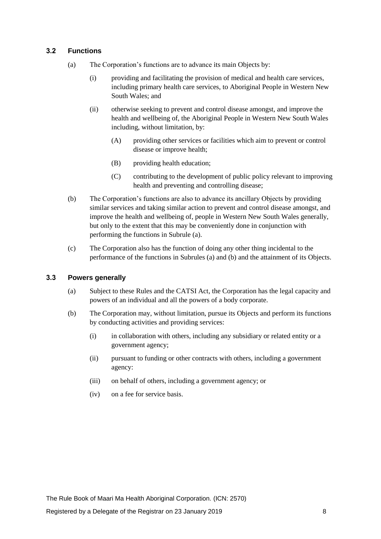#### <span id="page-7-0"></span>**3.2 Functions**

- (a) The Corporation's functions are to advance its main Objects by:
	- (i) providing and facilitating the provision of medical and health care services, including primary health care services, to Aboriginal People in Western New South Wales; and
	- (ii) otherwise seeking to prevent and control disease amongst, and improve the health and wellbeing of, the Aboriginal People in Western New South Wales including, without limitation, by:
		- (A) providing other services or facilities which aim to prevent or control disease or improve health;
		- (B) providing health education;
		- (C) contributing to the development of public policy relevant to improving health and preventing and controlling disease;
- <span id="page-7-1"></span>(b) The Corporation's functions are also to advance its ancillary Objects by providing similar services and taking similar action to prevent and control disease amongst, and improve the health and wellbeing of, people in Western New South Wales generally, but only to the extent that this may be conveniently done in conjunction with performing the functions in Subrule [\(a\).](#page-7-0)
- (c) The Corporation also has the function of doing any other thing incidental to the performance of the functions in Subrule[s \(a\)](#page-7-0) and [\(b\)](#page-7-1) and the attainment of its Objects.

#### **3.3 Powers generally**

- (a) Subject to these Rules and the CATSI Act, the Corporation has the legal capacity and powers of an individual and all the powers of a body corporate.
- (b) The Corporation may, without limitation, pursue its Objects and perform its functions by conducting activities and providing services:
	- (i) in collaboration with others, including any subsidiary or related entity or a government agency;
	- (ii) pursuant to funding or other contracts with others, including a government agency:
	- (iii) on behalf of others, including a government agency; or
	- (iv) on a fee for service basis.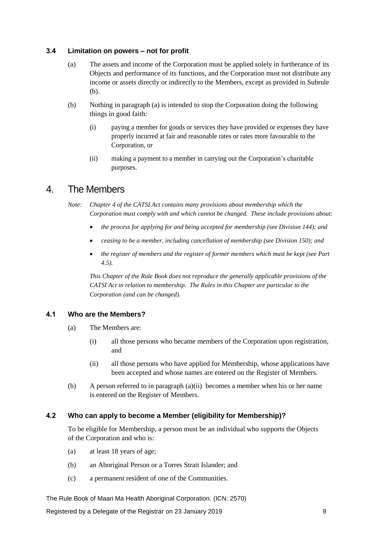#### <span id="page-8-1"></span>**3.4 Limitation on powers – not for profit**

- (a) The assets and income of the Corporation must be applied solely in furtherance of its Objects and performance of its functions, and the Corporation must not distribute any income or assets directly or indirectly to the Members, except as provided in Subrule [\(b\).](#page-8-0)
- <span id="page-8-0"></span>(b) Nothing in paragraph [\(a\)](#page-8-1) is intended to stop the Corporation doing the following things in good faith:
	- (i) paying a member for goods or services they have provided or expenses they have properly incurred at fair and reasonable rates or rates more favourable to the Corporation, or
	- (ii) making a payment to a member in carrying out the Corporation's charitable purposes.

## 4. The Members

*Note: Chapter 4 of the CATSI Act contains many provisions about membership which the Corporation must comply with and which cannot be changed. These include provisions about:* 

- *the process for applying for and being accepted for membership (see Division 144); and*
- *ceasing to be a member, including cancellation of membership (see Division 150); and*
- *the register of members and the register of former members which must be kept (see Part 4.5).*

*This Chapter of the Rule Book does not reproduce the generally applicable provisions of the CATSI Act in relation to membership. The Rules in this Chapter are particular to the Corporation (and can be changed).*

#### **4.1 Who are the Members?**

- (a) The Members are:
	- (i) all those persons who became members of the Corporation upon registration, and
	- (ii) all those persons who have applied for Membership, whose applications have been accepted and whose names are entered on the Register of Members.
- <span id="page-8-2"></span>(b) A person referred to in paragraph [\(a\)\(ii\)](#page-8-2) becomes a member when his or her name is entered on the Register of Members.

#### **4.2 Who can apply to become a Member (eligibility for Membership)?**

To be eligible for Membership, a person must be an individual who supports the Objects of the Corporation and who is:

- (a) at least 18 years of age;
- (b) an Aboriginal Person or a Torres Strait Islander; and
- (c) a permanent resident of one of the Communities.

The Rule Book of Maari Ma Health Aboriginal Corporation. (ICN: 2570)

Registered by a Delegate of the Registrar on 23 January 2019 99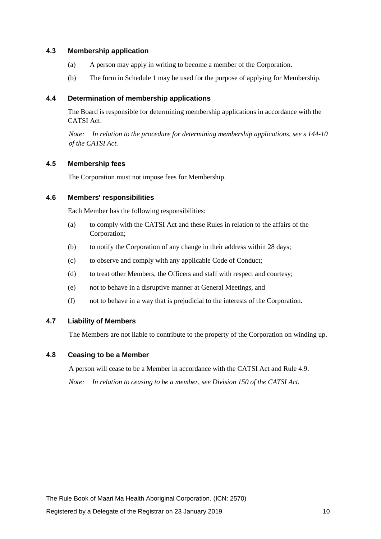#### **4.3 Membership application**

- (a) A person may apply in writing to become a member of the Corporation.
- (b) The form in Schedule 1 may be used for the purpose of applying for Membership.

#### **4.4 Determination of membership applications**

The Board is responsible for determining membership applications in accordance with the CATSI Act.

*Note: In relation to the procedure for determining membership applications, see s 144-10 of the CATSI Act.*

#### **4.5 Membership fees**

The Corporation must not impose fees for Membership.

#### **4.6 Members' responsibilities**

Each Member has the following responsibilities:

- (a) to comply with the CATSI Act and these Rules in relation to the affairs of the Corporation;
- (b) to notify the Corporation of any change in their address within 28 days;
- (c) to observe and comply with any applicable Code of Conduct;
- (d) to treat other Members, the Officers and staff with respect and courtesy;
- (e) not to behave in a disruptive manner at General Meetings, and
- (f) not to behave in a way that is prejudicial to the interests of the Corporation.

#### **4.7 Liability of Members**

The Members are not liable to contribute to the property of the Corporation on winding up.

#### **4.8 Ceasing to be a Member**

A person will cease to be a Member in accordance with the CATSI Act and Rule [4.9.](#page-10-0) *Note: In relation to ceasing to be a member, see Division 150 of the CATSI Act.*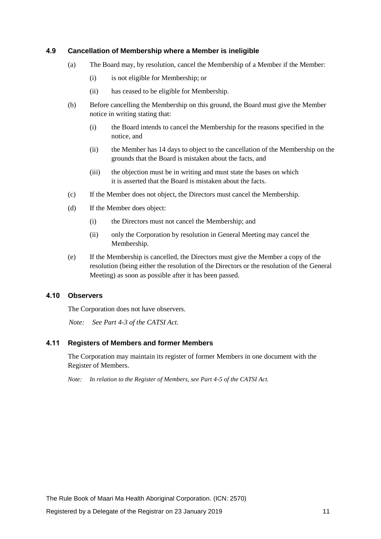#### <span id="page-10-0"></span>**4.9 Cancellation of Membership where a Member is ineligible**

- (a) The Board may, by resolution, cancel the Membership of a Member if the Member:
	- (i) is not eligible for Membership; or
	- (ii) has ceased to be eligible for Membership.
- (b) Before cancelling the Membership on this ground, the Board must give the Member notice in writing stating that:
	- (i) the Board intends to cancel the Membership for the reasons specified in the notice, and
	- (ii) the Member has 14 days to object to the cancellation of the Membership on the grounds that the Board is mistaken about the facts, and
	- (iii) the objection must be in writing and must state the bases on which it is asserted that the Board is mistaken about the facts.
- (c) If the Member does not object, the Directors must cancel the Membership.
- (d) If the Member does object:
	- (i) the Directors must not cancel the Membership; and
	- (ii) only the Corporation by resolution in General Meeting may cancel the Membership.
- (e) If the Membership is cancelled, the Directors must give the Member a copy of the resolution (being either the resolution of the Directors or the resolution of the General Meeting) as soon as possible after it has been passed.

#### **4.10 Observers**

The Corporation does not have observers.

*Note: See Part 4-3 of the CATSI Act.*

#### **4.11 Registers of Members and former Members**

The Corporation may maintain its register of former Members in one document with the Register of Members.

*Note: In relation to the Register of Members, see Part 4-5 of the CATSI Act.*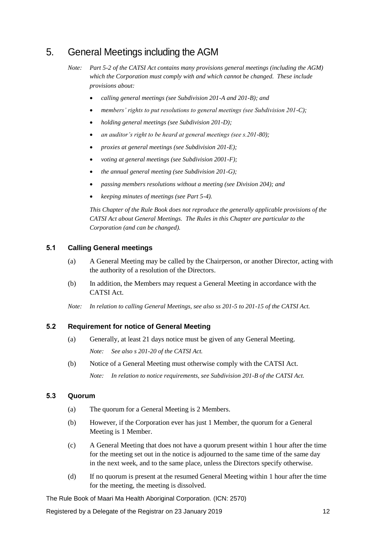## 5. General Meetings including the AGM

- *calling general meetings (see Subdivision 201-A and 201-B); and*
- *members' rights to put resolutions to general meetings (see Subdivision 201-C);*
- *holding general meetings (see Subdivision 201-D);*
- *an auditor's right to be heard at general meetings (see s.201-80);*
- *proxies at general meetings (see Subdivision 201-E);*
- *voting at general meetings (see Subdivision 2001-F);*
- *the annual general meeting (see Subdivision 201-G);*
- *passing members resolutions without a meeting (see Division 204); and*
- *keeping minutes of meetings (see Part 5-4).*

*This Chapter of the Rule Book does not reproduce the generally applicable provisions of the CATSI Act about General Meetings. The Rules in this Chapter are particular to the Corporation (and can be changed).*

#### **5.1 Calling General meetings**

- (a) A General Meeting may be called by the Chairperson, or another Director, acting with the authority of a resolution of the Directors.
- (b) In addition, the Members may request a General Meeting in accordance with the CATSI Act.
- *Note: In relation to calling General Meetings, see also ss 201-5 to 201-15 of the CATSI Act.*

#### **5.2 Requirement for notice of General Meeting**

- (a) Generally, at least 21 days notice must be given of any General Meeting. *Note: See also s 201-20 of the CATSI Act.*
- (b) Notice of a General Meeting must otherwise comply with the CATSI Act. *Note: In relation to notice requirements, see Subdivision 201-B of the CATSI Act.*

#### **5.3 Quorum**

- (a) The quorum for a General Meeting is 2 Members.
- (b) However, if the Corporation ever has just 1 Member, the quorum for a General Meeting is 1 Member.
- (c) A General Meeting that does not have a quorum present within 1 hour after the time for the meeting set out in the notice is adjourned to the same time of the same day in the next week, and to the same place, unless the Directors specify otherwise.
- (d) If no quorum is present at the resumed General Meeting within 1 hour after the time for the meeting, the meeting is dissolved.

The Rule Book of Maari Ma Health Aboriginal Corporation. (ICN: 2570)

Registered by a Delegate of the Registrar on 23 January 2019 12

*Note: Part 5-2 of the CATSI Act contains many provisions general meetings (including the AGM) which the Corporation must comply with and which cannot be changed. These include provisions about:*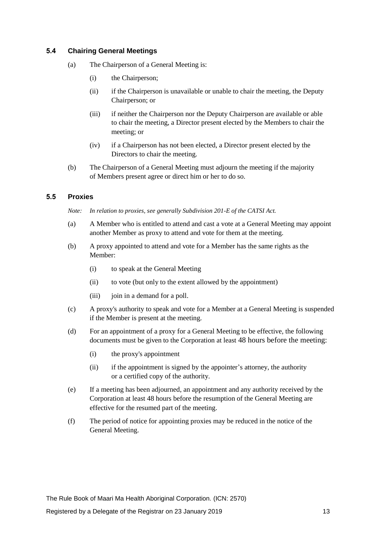#### <span id="page-12-0"></span>**5.4 Chairing General Meetings**

- (a) The Chairperson of a General Meeting is:
	- (i) the Chairperson;
	- (ii) if the Chairperson is unavailable or unable to chair the meeting, the Deputy Chairperson; or
	- (iii) if neither the Chairperson nor the Deputy Chairperson are available or able to chair the meeting, a Director present elected by the Members to chair the meeting; or
	- (iv) if a Chairperson has not been elected, a Director present elected by the Directors to chair the meeting.
- (b) The Chairperson of a General Meeting must adjourn the meeting if the majority of Members present agree or direct him or her to do so.

#### **5.5 Proxies**

*Note: In relation to proxies, see generally Subdivision 201-E of the CATSI Act.*

- (a) A Member who is entitled to attend and cast a vote at a General Meeting may appoint another Member as proxy to attend and vote for them at the meeting.
- (b) A proxy appointed to attend and vote for a Member has the same rights as the Member:
	- (i) to speak at the General Meeting
	- (ii) to vote (but only to the extent allowed by the appointment)
	- (iii) join in a demand for a poll.
- (c) A proxy's authority to speak and vote for a Member at a General Meeting is suspended if the Member is present at the meeting.
- (d) For an appointment of a proxy for a General Meeting to be effective, the following documents must be given to the Corporation at least 48 hours before the meeting:
	- (i) the proxy's appointment
	- (ii) if the appointment is signed by the appointer's attorney, the authority or a certified copy of the authority.
- (e) If a meeting has been adjourned, an appointment and any authority received by the Corporation at least 48 hours before the resumption of the General Meeting are effective for the resumed part of the meeting.
- (f) The period of notice for appointing proxies may be reduced in the notice of the General Meeting.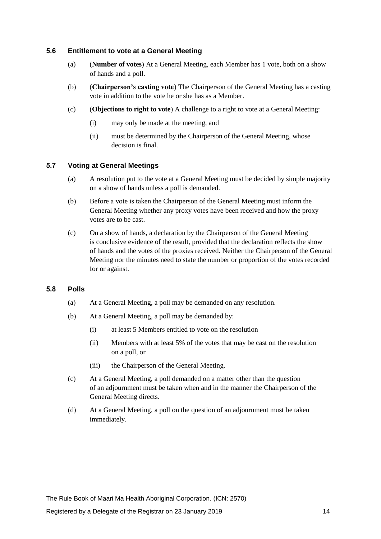#### **5.6 Entitlement to vote at a General Meeting**

- (a) (**Number of votes**) At a General Meeting, each Member has 1 vote, both on a show of hands and a poll.
- (b) (**Chairperson's casting vote**) The Chairperson of the General Meeting has a casting vote in addition to the vote he or she has as a Member.
- (c) (**Objections to right to vote**) A challenge to a right to vote at a General Meeting:
	- (i) may only be made at the meeting, and
	- (ii) must be determined by the Chairperson of the General Meeting, whose decision is final.

#### **5.7 Voting at General Meetings**

- (a) A resolution put to the vote at a General Meeting must be decided by simple majority on a show of hands unless a poll is demanded.
- (b) Before a vote is taken the Chairperson of the General Meeting must inform the General Meeting whether any proxy votes have been received and how the proxy votes are to be cast.
- (c) On a show of hands, a declaration by the Chairperson of the General Meeting is conclusive evidence of the result, provided that the declaration reflects the show of hands and the votes of the proxies received. Neither the Chairperson of the General Meeting nor the minutes need to state the number or proportion of the votes recorded for or against.

#### **5.8 Polls**

- (a) At a General Meeting, a poll may be demanded on any resolution.
- (b) At a General Meeting, a poll may be demanded by:
	- (i) at least 5 Members entitled to vote on the resolution
	- (ii) Members with at least 5% of the votes that may be cast on the resolution on a poll, or
	- (iii) the Chairperson of the General Meeting.
- (c) At a General Meeting, a poll demanded on a matter other than the question of an adjournment must be taken when and in the manner the Chairperson of the General Meeting directs.
- (d) At a General Meeting, a poll on the question of an adjournment must be taken immediately.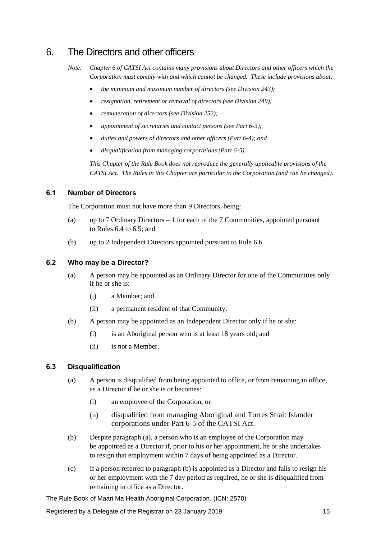## 6. The Directors and other officers

- *the minimum and maximum number of directors (see Division 243);*
- *resignation, retirement or removal of directors (see Division 249);*
- *remuneration of directors (see Division 252);*
- *appointment of secretaries and contact persons (see Part 6-3);*
- *duties and powers of directors and other officers (Part 6-4); and*
- *disqualification from managing corporations (Part 6-5).*

*This Chapter of the Rule Book does not reproduce the generally applicable provisions of the CATSI Act. The Rules in this Chapter are particular to the Corporation (and can be changed).*

#### **6.1 Number of Directors**

The Corporation must not have more than 9 Directors, being:

- (a) up to 7 Ordinary Directors 1 for each of the 7 Communities, appointed pursuant to Rules [6.4](#page-15-0) to [6.5;](#page-16-0) and
- (b) up to 2 Independent Directors appointed pursuant to Rul[e 6.6.](#page-16-1)

#### **6.2 Who may be a Director?**

- (a) A person may be appointed as an Ordinary Director for one of the Communities only if he or she is:
	- (i) a Member; and
	- (ii) a permanent resident of that Community.
- (b) A person may be appointed as an Independent Director only if he or she:
	- (i) is an Aboriginal person who is at least 18 years old; and
	- (ii) is not a Member.

#### <span id="page-14-1"></span><span id="page-14-0"></span>**6.3 Disqualification**

- (a) A person is disqualified from being appointed to office, or from remaining in office, as a Director if he or she is or becomes:
	- (i) an employee of the Corporation; or
	- (ii) disqualified from managing Aboriginal and Torres Strait Islander corporations under Part 6-5 of the CATSI Act.
- (b) Despite paragraph [\(a\),](#page-14-0) a person who is an employee of the Corporation may be appointed as a Director if, prior to his or her appointment, he or she undertakes to resign that employment within 7 days of being appointed as a Director.
- (c) If a person referred to paragraph (b) is appointed as a Director and fails to resign his or her employment with the 7 day period as required, he or she is disqualified from remaining in office as a Director.

*Note: Chapter 6 of CATSI Act contains many provisions about Directors and other officers which the Corporation must comply with and which cannot be changed. These include provisions about:*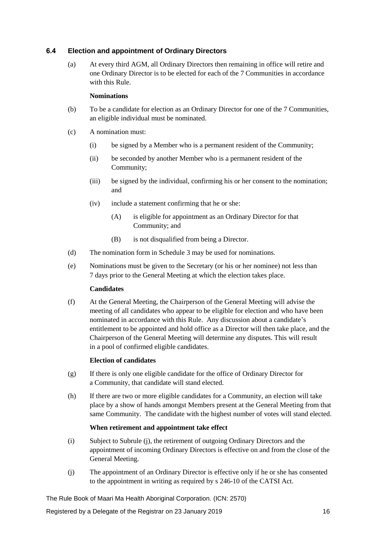#### <span id="page-15-0"></span>**6.4 Election and appointment of Ordinary Directors**

(a) At every third AGM, all Ordinary Directors then remaining in office will retire and one Ordinary Director is to be elected for each of the 7 Communities in accordance with this Rule.

#### **Nominations**

- (b) To be a candidate for election as an Ordinary Director for one of the 7 Communities, an eligible individual must be nominated.
- (c) A nomination must:
	- (i) be signed by a Member who is a permanent resident of the Community;
	- (ii) be seconded by another Member who is a permanent resident of the Community;
	- (iii) be signed by the individual, confirming his or her consent to the nomination; and
	- (iv) include a statement confirming that he or she:
		- (A) is eligible for appointment as an Ordinary Director for that Community; and
		- (B) is not disqualified from being a Director.
- (d) The nomination form in Schedule 3 may be used for nominations.
- (e) Nominations must be given to the Secretary (or his or her nominee) not less than 7 days prior to the General Meeting at which the election takes place.

#### **Candidates**

(f) At the General Meeting, the Chairperson of the General Meeting will advise the meeting of all candidates who appear to be eligible for election and who have been nominated in accordance with this Rule. Any discussion about a candidate's entitlement to be appointed and hold office as a Director will then take place, and the Chairperson of the General Meeting will determine any disputes. This will result in a pool of confirmed eligible candidates.

#### **Election of candidates**

- (g) If there is only one eligible candidate for the office of Ordinary Director for a Community, that candidate will stand elected.
- (h) If there are two or more eligible candidates for a Community, an election will take place by a show of hands amongst Members present at the General Meeting from that same Community. The candidate with the highest number of votes will stand elected.

#### **When retirement and appointment take effect**

- (i) Subject to Subrule [\(j\),](#page-15-1) the retirement of outgoing Ordinary Directors and the appointment of incoming Ordinary Directors is effective on and from the close of the General Meeting.
- <span id="page-15-1"></span>(j) The appointment of an Ordinary Director is effective only if he or she has consented to the appointment in writing as required by s 246-10 of the CATSI Act.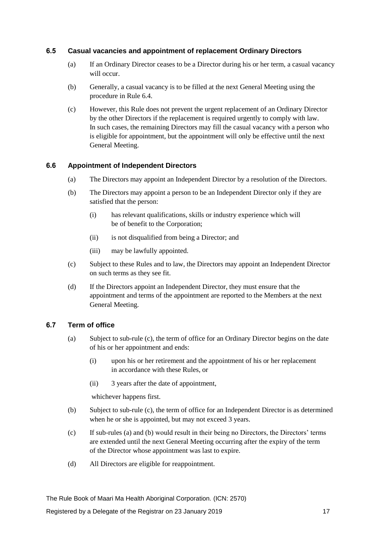#### <span id="page-16-0"></span>**6.5 Casual vacancies and appointment of replacement Ordinary Directors**

- (a) If an Ordinary Director ceases to be a Director during his or her term, a casual vacancy will occur.
- (b) Generally, a casual vacancy is to be filled at the next General Meeting using the procedure in Rule [6.4.](#page-15-0)
- (c) However, this Rule does not prevent the urgent replacement of an Ordinary Director by the other Directors if the replacement is required urgently to comply with law. In such cases, the remaining Directors may fill the casual vacancy with a person who is eligible for appointment, but the appointment will only be effective until the next General Meeting.

#### **6.6 Appointment of Independent Directors**

- <span id="page-16-1"></span>(a) The Directors may appoint an Independent Director by a resolution of the Directors.
- (b) The Directors may appoint a person to be an Independent Director only if they are satisfied that the person:
	- (i) has relevant qualifications, skills or industry experience which will be of benefit to the Corporation;
	- (ii) is not disqualified from being a Director; and
	- (iii) may be lawfully appointed.
- (c) Subject to these Rules and to law, the Directors may appoint an Independent Director on such terms as they see fit.
- (d) If the Directors appoint an Independent Director, they must ensure that the appointment and terms of the appointment are reported to the Members at the next General Meeting.

#### <span id="page-16-3"></span>**6.7 Term of office**

- (a) Subject to sub-rule [\(c\),](#page-16-2) the term of office for an Ordinary Director begins on the date of his or her appointment and ends:
	- (i) upon his or her retirement and the appointment of his or her replacement in accordance with these Rules, or
	- (ii) 3 years after the date of appointment,

<span id="page-16-4"></span>whichever happens first.

- (b) Subject to sub-rule [\(c\),](#page-16-2) the term of office for an Independent Director is as determined when he or she is appointed, but may not exceed 3 years.
- <span id="page-16-2"></span>(c) If sub-rules [\(a\)](#page-16-3) an[d \(b\)](#page-16-4) would result in their being no Directors, the Directors' terms are extended until the next General Meeting occurring after the expiry of the term of the Director whose appointment was last to expire.
- (d) All Directors are eligible for reappointment.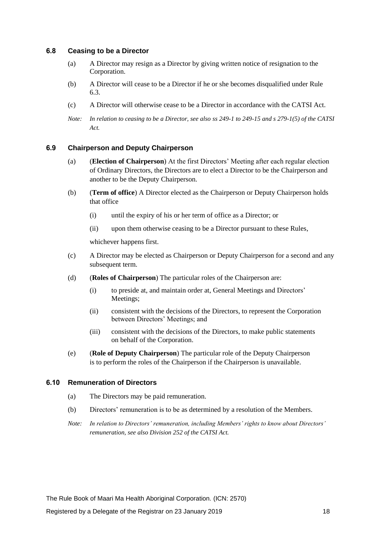#### **6.8 Ceasing to be a Director**

- (a) A Director may resign as a Director by giving written notice of resignation to the Corporation.
- (b) A Director will cease to be a Director if he or she becomes disqualified under Rule [6.3.](#page-14-1)
- (c) A Director will otherwise cease to be a Director in accordance with the CATSI Act.
- *Note: In relation to ceasing to be a Director, see also ss 249-1 to 249-15 and s 279-1(5) of the CATSI Act.*

#### **6.9 Chairperson and Deputy Chairperson**

- (a) (**Election of Chairperson**) At the first Directors' Meeting after each regular election of Ordinary Directors, the Directors are to elect a Director to be the Chairperson and another to be the Deputy Chairperson.
- (b) (**Term of office**) A Director elected as the Chairperson or Deputy Chairperson holds that office
	- (i) until the expiry of his or her term of office as a Director; or
	- (ii) upon them otherwise ceasing to be a Director pursuant to these Rules,

whichever happens first.

- (c) A Director may be elected as Chairperson or Deputy Chairperson for a second and any subsequent term.
- (d) (**Roles of Chairperson**) The particular roles of the Chairperson are:
	- (i) to preside at, and maintain order at, General Meetings and Directors' Meetings;
	- (ii) consistent with the decisions of the Directors, to represent the Corporation between Directors' Meetings; and
	- (iii) consistent with the decisions of the Directors, to make public statements on behalf of the Corporation.
- (e) (**Role of Deputy Chairperson**) The particular role of the Deputy Chairperson is to perform the roles of the Chairperson if the Chairperson is unavailable.

#### **6.10 Remuneration of Directors**

- (a) The Directors may be paid remuneration.
- (b) Directors' remuneration is to be as determined by a resolution of the Members.
- *Note: In relation to Directors' remuneration, including Members' rights to know about Directors' remuneration, see also Division 252 of the CATSI Act.*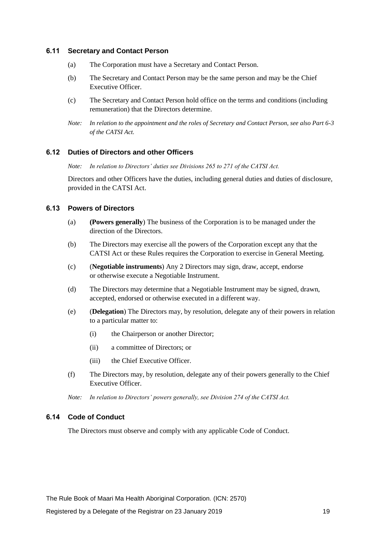#### **6.11 Secretary and Contact Person**

- (a) The Corporation must have a Secretary and Contact Person.
- (b) The Secretary and Contact Person may be the same person and may be the Chief Executive Officer.
- (c) The Secretary and Contact Person hold office on the terms and conditions (including remuneration) that the Directors determine.
- *Note: In relation to the appointment and the roles of Secretary and Contact Person, see also Part 6-3 of the CATSI Act.*

#### **6.12 Duties of Directors and other Officers**

*Note: In relation to Directors' duties see Divisions 265 to 271 of the CATSI Act.*

Directors and other Officers have the duties, including general duties and duties of disclosure, provided in the CATSI Act.

#### **6.13 Powers of Directors**

- (a) **(Powers generally**) The business of the Corporation is to be managed under the direction of the Directors.
- (b) The Directors may exercise all the powers of the Corporation except any that the CATSI Act or these Rules requires the Corporation to exercise in General Meeting.
- (c) (**Negotiable instruments**) Any 2 Directors may sign, draw, accept, endorse or otherwise execute a Negotiable Instrument.
- (d) The Directors may determine that a Negotiable Instrument may be signed, drawn, accepted, endorsed or otherwise executed in a different way.
- (e) (**Delegation**) The Directors may, by resolution, delegate any of their powers in relation to a particular matter to:
	- (i) the Chairperson or another Director;
	- (ii) a committee of Directors; or
	- (iii) the Chief Executive Officer.
- (f) The Directors may, by resolution, delegate any of their powers generally to the Chief Executive Officer.
- *Note: In relation to Directors' powers generally, see Division 274 of the CATSI Act.*

#### **6.14 Code of Conduct**

The Directors must observe and comply with any applicable Code of Conduct.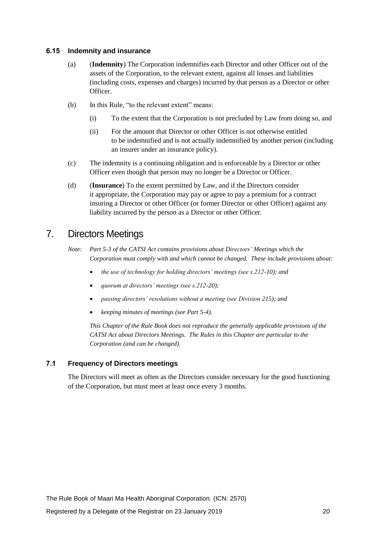#### **6.15 Indemnity and insurance**

- (a) (**Indemnity**) The Corporation indemnifies each Director and other Officer out of the assets of the Corporation, to the relevant extent, against all losses and liabilities (including costs, expenses and charges) incurred by that person as a Director or other Officer.
- (b) In this Rule, "to the relevant extent" means:
	- (i) To the extent that the Corporation is not precluded by Law from doing so, and
	- (ii) For the amount that Director or other Officer is not otherwise entitled to be indemnified and is not actually indemnified by another person (including an insurer under an insurance policy).
- (c) The indemnity is a continuing obligation and is enforceable by a Director or other Officer even though that person may no longer be a Director or Officer.
- (d) (**Insurance**) To the extent permitted by Law, and if the Directors consider it appropriate, the Corporation may pay or agree to pay a premium for a contract insuring a Director or other Officer (or former Director or other Officer) against any liability incurred by the person as a Director or other Officer.

## 7. Directors Meetings

- *Note: Part 5-3 of the CATSI Act contains provisions about Directors' Meetings which the Corporation must comply with and which cannot be changed. These include provisions about:* 
	- *the use of technology for holding directors' meetings (see s.212-10); and*
	- *quorum at directors' meetings (see s.212-20);*
	- *passing directors' resolutions without a meeting (see Division 215); and*
	- *keeping minutes of meetings (see Part 5-4).*

*This Chapter of the Rule Book does not reproduce the generally applicable provisions of the CATSI Act about Directors Meetings. The Rules in this Chapter are particular to the Corporation (and can be changed).*

#### **7.1 Frequency of Directors meetings**

The Directors will meet as often as the Directors consider necessary for the good functioning of the Corporation, but must meet at least once every 3 months.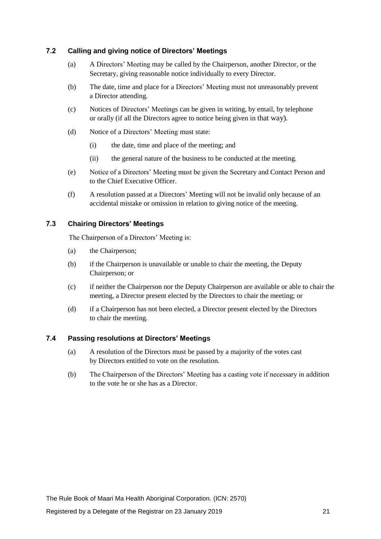#### **7.2 Calling and giving notice of Directors' Meetings**

- (a) A Directors' Meeting may be called by the Chairperson, another Director, or the Secretary, giving reasonable notice individually to every Director.
- (b) The date, time and place for a Directors' Meeting must not unreasonably prevent a Director attending.
- (c) Notices of Directors' Meetings can be given in writing, by email, by telephone or orally (if all the Directors agree to notice being given in that way).
- (d) Notice of a Directors' Meeting must state:
	- (i) the date, time and place of the meeting; and
	- (ii) the general nature of the business to be conducted at the meeting.
- (e) Notice of a Directors' Meeting must be given the Secretary and Contact Person and to the Chief Executive Officer.
- (f) A resolution passed at a Directors' Meeting will not be invalid only because of an accidental mistake or omission in relation to giving notice of the meeting.

#### <span id="page-20-0"></span>**7.3 Chairing Directors' Meetings**

The Chairperson of a Directors' Meeting is:

- (a) the Chairperson;
- (b) if the Chairperson is unavailable or unable to chair the meeting, the Deputy Chairperson; or
- (c) if neither the Chairperson nor the Deputy Chairperson are available or able to chair the meeting, a Director present elected by the Directors to chair the meeting; or
- (d) if a Chairperson has not been elected, a Director present elected by the Directors to chair the meeting.

#### **7.4 Passing resolutions at Directors' Meetings**

- (a) A resolution of the Directors must be passed by a majority of the votes cast by Directors entitled to vote on the resolution.
- (b) The Chairperson of the Directors' Meeting has a casting vote if necessary in addition to the vote he or she has as a Director.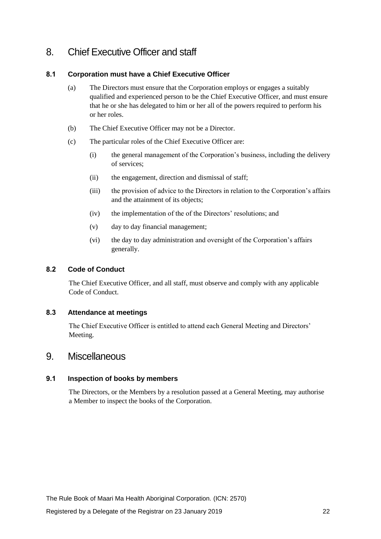## 8. Chief Executive Officer and staff

#### **8.1 Corporation must have a Chief Executive Officer**

- (a) The Directors must ensure that the Corporation employs or engages a suitably qualified and experienced person to be the Chief Executive Officer, and must ensure that he or she has delegated to him or her all of the powers required to perform his or her roles.
- (b) The Chief Executive Officer may not be a Director.
- (c) The particular roles of the Chief Executive Officer are:
	- (i) the general management of the Corporation's business, including the delivery of services;
	- (ii) the engagement, direction and dismissal of staff;
	- (iii) the provision of advice to the Directors in relation to the Corporation's affairs and the attainment of its objects;
	- (iv) the implementation of the of the Directors' resolutions; and
	- (v) day to day financial management;
	- (vi) the day to day administration and oversight of the Corporation's affairs generally.

#### **8.2 Code of Conduct**

The Chief Executive Officer, and all staff, must observe and comply with any applicable Code of Conduct.

#### **8.3 Attendance at meetings**

The Chief Executive Officer is entitled to attend each General Meeting and Directors' Meeting.

### 9. Miscellaneous

#### **9.1 Inspection of books by members**

The Directors, or the Members by a resolution passed at a General Meeting, may authorise a Member to inspect the books of the Corporation.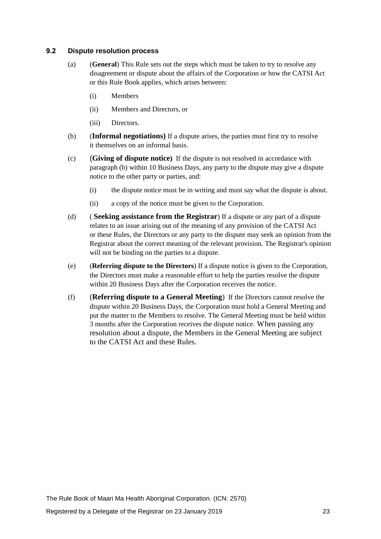#### **9.2 Dispute resolution process**

- (a) (**General**) This Rule sets out the steps which must be taken to try to resolve any disagreement or dispute about the affairs of the Corporation or how the CATSI Act or this Rule Book applies, which arises between:
	- (i) Members
	- (ii) Members and Directors, or
	- (iii) Directors.
- (b) (**Informal negotiations)** If a dispute arises, the parties must first try to resolve it themselves on an informal basis.
- (c) (**Giving of dispute notice)** If the dispute is not resolved in accordance with paragraph (b) within 10 Business Days, any party to the dispute may give a dispute notice to the other party or parties, and:
	- (i) the dispute notice must be in writing and must say what the dispute is about.
	- (ii) a copy of the notice must be given to the Corporation.
- (d) ( **Seeking assistance from the Registrar**) If a dispute or any part of a dispute relates to an issue arising out of the meaning of any provision of the CATSI Act or these Rules, the Directors or any party to the dispute may seek an opinion from the Registrar about the correct meaning of the relevant provision. The Registrar's opinion will not be binding on the parties to a dispute.
- (e) (**Referring dispute to the Directors**) If a dispute notice is given to the Corporation, the Directors must make a reasonable effort to help the parties resolve the dispute within 20 Business Days after the Corporation receives the notice.
- (f) (**Referring dispute to a General Meeting**) If the Directors cannot resolve the dispute within 20 Business Days, the Corporation must hold a General Meeting and put the matter to the Members to resolve. The General Meeting must be held within 3 months after the Corporation receives the dispute notice. When passing any resolution about a dispute, the Members in the General Meeting are subject to the CATSI Act and these Rules.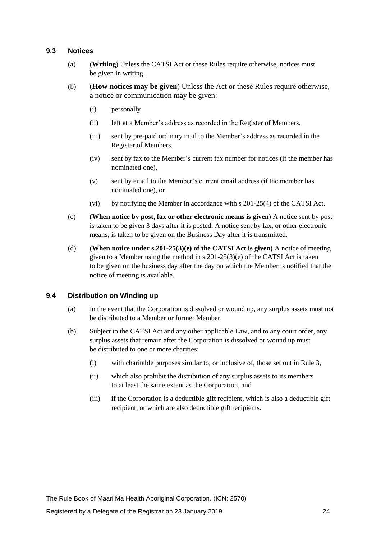#### **9.3 Notices**

- (a) (**Writing**) Unless the CATSI Act or these Rules require otherwise, notices must be given in writing.
- (b) (**How notices may be given**) Unless the Act or these Rules require otherwise, a notice or communication may be given:
	- (i) personally
	- (ii) left at a Member's address as recorded in the Register of Members,
	- (iii) sent by pre-paid ordinary mail to the Member's address as recorded in the Register of Members,
	- (iv) sent by fax to the Member's current fax number for notices (if the member has nominated one),
	- (v) sent by email to the Member's current email address (if the member has nominated one), or
	- (vi) by notifying the Member in accordance with s 201-25(4) of the CATSI Act.
- (c) (**When notice by post, fax or other electronic means is given**) A notice sent by post is taken to be given 3 days after it is posted. A notice sent by fax, or other electronic means, is taken to be given on the Business Day after it is transmitted.
- (d) (**When notice under s.201-25(3)(e) of the CATSI Act is given)** A notice of meeting given to a Member using the method in s.201-25(3)(e) of the CATSI Act is taken to be given on the business day after the day on which the Member is notified that the notice of meeting is available.

#### **9.4 Distribution on Winding up**

- (a) In the event that the Corporation is dissolved or wound up, any surplus assets must not be distributed to a Member or former Member.
- (b) Subject to the CATSI Act and any other applicable Law, and to any court order, any surplus assets that remain after the Corporation is dissolved or wound up must be distributed to one or more charities:
	- (i) with charitable purposes similar to, or inclusive of, those set out in Rule [3,](#page-6-2)
	- (ii) which also prohibit the distribution of any surplus assets to its members to at least the same extent as the Corporation, and
	- (iii) if the Corporation is a deductible gift recipient, which is also a deductible gift recipient, or which are also deductible gift recipients.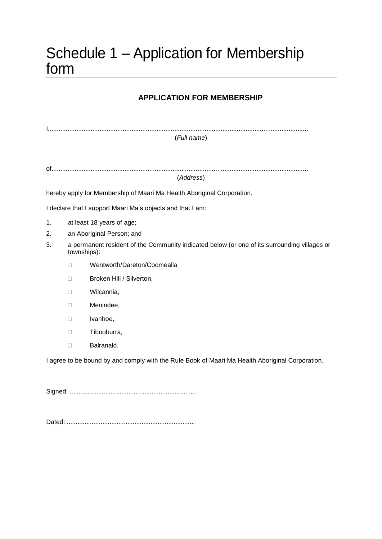## Schedule 1 – Application for Membership form

### **APPLICATION FOR MEMBERSHIP**

|    |                                                                                                             | (Full name)                                                                                     |  |
|----|-------------------------------------------------------------------------------------------------------------|-------------------------------------------------------------------------------------------------|--|
|    |                                                                                                             | (Address)                                                                                       |  |
|    |                                                                                                             |                                                                                                 |  |
|    |                                                                                                             | hereby apply for Membership of Maari Ma Health Aboriginal Corporation.                          |  |
|    |                                                                                                             | I declare that I support Maari Ma's objects and that I am:                                      |  |
| 1. |                                                                                                             | at least 18 years of age;                                                                       |  |
| 2. | an Aboriginal Person; and                                                                                   |                                                                                                 |  |
| 3. | a permanent resident of the Community indicated below (or one of its surrounding villages or<br>townships): |                                                                                                 |  |
|    | П.                                                                                                          | Wentworth/Dareton/Coomealla                                                                     |  |
|    | П                                                                                                           | Broken Hill / Silverton,                                                                        |  |
|    | П                                                                                                           | Wilcannia,                                                                                      |  |
|    | П                                                                                                           | Menindee,                                                                                       |  |
|    | П                                                                                                           | Ivanhoe,                                                                                        |  |
|    | П                                                                                                           | Tibooburra,                                                                                     |  |
|    | □                                                                                                           | Balranald.                                                                                      |  |
|    |                                                                                                             | I agree to be bound by and comply with the Rule Book of Maari Ma Health Aboriginal Corporation. |  |
|    |                                                                                                             |                                                                                                 |  |

Dated: ........................................................................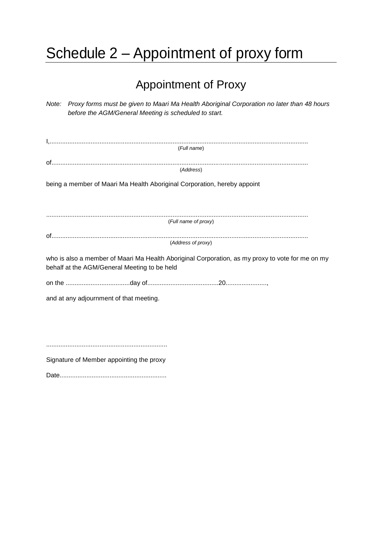# Schedule 2 – Appointment of proxy form

## Appointment of Proxy

| Note: Proxy forms must be given to Maari Ma Health Aboriginal Corporation no later than 48 hours<br>before the AGM/General Meeting is scheduled to start. |
|-----------------------------------------------------------------------------------------------------------------------------------------------------------|
| (Full name)                                                                                                                                               |
| (Address)                                                                                                                                                 |
| being a member of Maari Ma Health Aboriginal Corporation, hereby appoint                                                                                  |
| (Full name of proxy)                                                                                                                                      |
|                                                                                                                                                           |
| (Address of proxy)                                                                                                                                        |
| who is also a member of Maari Ma Health Aboriginal Corporation, as my proxy to vote for me on my<br>behalf at the AGM/General Meeting to be held          |
|                                                                                                                                                           |
| and at any adjournment of that meeting.                                                                                                                   |
|                                                                                                                                                           |
|                                                                                                                                                           |
|                                                                                                                                                           |
| Signature of Member appointing the proxy                                                                                                                  |

Date............................................................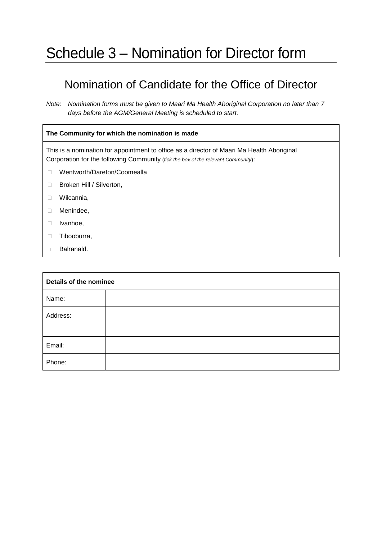## Schedule 3 – Nomination for Director form

## Nomination of Candidate for the Office of Director

*Note: Nomination forms must be given to Maari Ma Health Aboriginal Corporation no later than 7 days before the AGM/General Meeting is scheduled to start.* 

#### **The Community for which the nomination is made**

This is a nomination for appointment to office as a director of Maari Ma Health Aboriginal Corporation for the following Community (*tick the box of the relevant Community*):

- □ Wentworth/Dareton/Coomealla
- □ Broken Hill / Silverton,
- D Wilcannia,
- Menindee,
- D Ivanhoe,
- **Tibooburra,**
- Balranald.

| Details of the nominee |  |  |  |
|------------------------|--|--|--|
| Name:                  |  |  |  |
| Address:               |  |  |  |
| Email:                 |  |  |  |
| Phone:                 |  |  |  |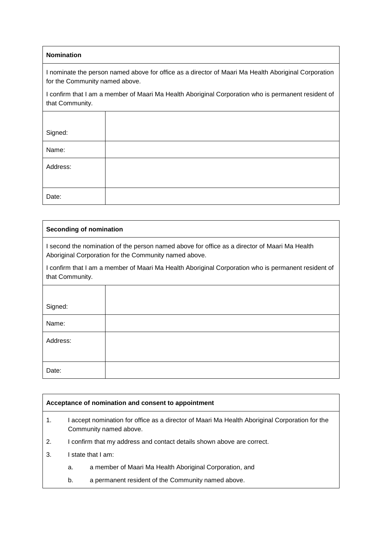#### **Nomination**

I nominate the person named above for office as a director of Maari Ma Health Aboriginal Corporation for the Community named above.

I confirm that I am a member of Maari Ma Health Aboriginal Corporation who is permanent resident of that Community.

| Signed:  |  |
|----------|--|
| Name:    |  |
| Address: |  |
|          |  |
| Date:    |  |

#### **Seconding of nomination**

I second the nomination of the person named above for office as a director of Maari Ma Health Aboriginal Corporation for the Community named above.

I confirm that I am a member of Maari Ma Health Aboriginal Corporation who is permanent resident of that Community.

| Signed:  |  |
|----------|--|
| Name:    |  |
| Address: |  |
|          |  |
| Date:    |  |

#### **Acceptance of nomination and consent to appointment**

- 1. I accept nomination for office as a director of Maari Ma Health Aboriginal Corporation for the Community named above.
- 2. I confirm that my address and contact details shown above are correct.
- 3. I state that I am:
	- a. a member of Maari Ma Health Aboriginal Corporation, and
	- b. a permanent resident of the Community named above.